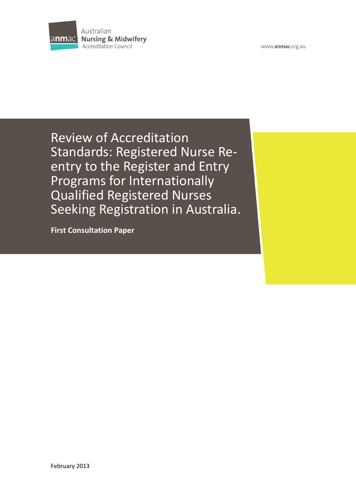

www.anmac.org.au

Review of Accreditation Standards: Registered Nurse Reentry to the Register and Entry Programs for Internationally Qualified Registered Nurses Seeking Registration in Australia.

**First Consultation Paper**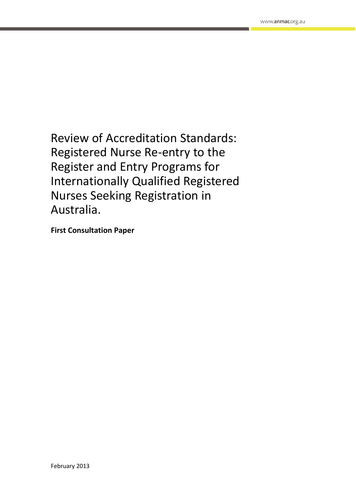Review of Accreditation Standards: Registered Nurse Re-entry to the Register and Entry Programs for Internationally Qualified Registered Nurses Seeking Registration in Australia.

**First Consultation Paper**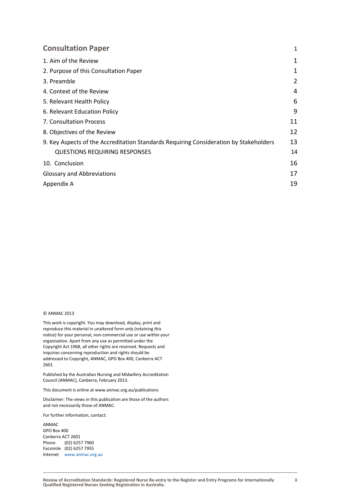| <b>Consultation Paper</b>                                                             |    |
|---------------------------------------------------------------------------------------|----|
| 1. Aim of the Review                                                                  | 1  |
| 2. Purpose of this Consultation Paper                                                 | 1  |
| 3. Preamble                                                                           | 2  |
| 4. Context of the Review                                                              | 4  |
| 5. Relevant Health Policy                                                             | 6  |
| 6. Relevant Education Policy                                                          | 9  |
| 7. Consultation Process                                                               | 11 |
| 8. Objectives of the Review                                                           | 12 |
| 9. Key Aspects of the Accreditation Standards Requiring Consideration by Stakeholders | 13 |
| <b>QUESTIONS REQUIRING RESPONSES</b>                                                  | 14 |
| 10. Conclusion                                                                        | 16 |
| <b>Glossary and Abbreviations</b>                                                     | 17 |
| Appendix A                                                                            | 19 |

#### © ANMAC 2013

This work is copyright. You may download, display, print and reproduce this material in unaltered form only (retaining this notice) for your personal, non-commercial use or use within your organisation. Apart from any use as permitted under the Copyright Act 1968, all other rights are reserved. Requests and inquiries concerning reproduction and rights should be addressed to Copyright, ANMAC, GPO Box 400, Canberra ACT 2601

Published by the Australian Nursing and Midwifery Accreditation Council (ANMAC), Canberra, February 2013.

This document is online at www.anmac.org.au/publications

Disclaimer: The views in this publication are those of the authors and not necessarily those of ANMAC.

For further information, contact:

ANMAC GPO Box 400 Canberra ACT 2601 Phone (02) 6257 7960 Facsimile (02) 6257 7955 Internet [www.anmac.org.au](http://www.anmac.org.au/)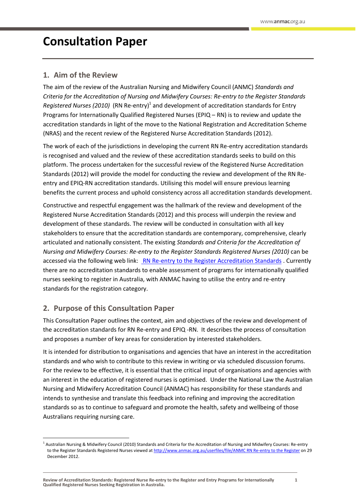# <span id="page-3-0"></span>**Consultation Paper**

# <span id="page-3-1"></span>**1. Aim of the Review**

The aim of the review of the Australian Nursing and Midwifery Council (ANMC) *Standards and Criteria for the Accreditation of Nursing and Midwifery Courses: Re-entry to the Register Standards*  Registered Nurses (2010) (RN Re-entry)<sup>1</sup> and development of accreditation standards for Entry Programs for Internationally Qualified Registered Nurses (EPIQ – RN) is to review and update the accreditation standards in light of the move to the National Registration and Accreditation Scheme (NRAS) and the recent review of the Registered Nurse Accreditation Standards (2012).

The work of each of the jurisdictions in developing the current RN Re-entry accreditation standards is recognised and valued and the review of these accreditation standards seeks to build on this platform. The process undertaken for the successful review of the Registered Nurse Accreditation Standards (2012) will provide the model for conducting the review and development of the RN Reentry and EPIQ-RN accreditation standards. Utilising this model will ensure previous learning benefits the current process and uphold consistency across all accreditation standards development.

Constructive and respectful engagement was the hallmark of the review and development of the Registered Nurse Accreditation Standards (2012) and this process will underpin the review and development of these standards. The review will be conducted in consultation with all key stakeholders to ensure that the accreditation standards are contemporary, comprehensive, clearly articulated and nationally consistent. The existing *Standards and Criteria for the Accreditation of Nursing and Midwifery Courses: Re-entry to the Register Standards Registered Nurses (2010)* can be accessed via the following web link: [RN Re-entry to the Register Accreditation Standards](http://www.anmc.org.au/userfiles/file/Standards%20and%20Criteria%20for%20the%20Accreditation%20of%20Nursing%20and%20Midwifery%20Courses%20Re-Entry%20to%20the%20Register%20Standards%20-%20RN%20May%202010(1).pdf) . Currently there are no accreditation standards to enable assessment of programs for internationally qualified nurses seeking to register in Australia, with ANMAC having to utilise the entry and re-entry standards for the registration category.

# <span id="page-3-2"></span>**2. Purpose of this Consultation Paper**

**.** 

This Consultation Paper outlines the context, aim and objectives of the review and development of the accreditation standards for RN Re-entry and EPIQ -RN. It describes the process of consultation and proposes a number of key areas for consideration by interested stakeholders.

It is intended for distribution to organisations and agencies that have an interest in the accreditation standards and who wish to contribute to this review in writing or via scheduled discussion forums. For the review to be effective, it is essential that the critical input of organisations and agencies with an interest in the education of registered nurses is optimised. Under the National Law the Australian Nursing and Midwifery Accreditation Council (ANMAC) has responsibility for these standards and intends to synthesise and translate this feedback into refining and improving the accreditation standards so as to continue to safeguard and promote the health, safety and wellbeing of those Australians requiring nursing care.

<sup>&</sup>lt;sup>1</sup> Australian Nursing & Midwifery Council (2010) Standards and Criteria for the Accreditation of Nursing and Midwifery Courses: Re-entry to the Register Standards Registered Nurses viewed a[t http://www.anmac.org.au/userfiles/file/ANMC RN Re-entry to the Register](http://www.anmc.org.au/userfiles/file/Standards%20and%20Criteria%20for%20the%20Accreditation%20of%20Nursing%20and%20Midwifery%20Courses%20Re-Entry%20to%20the%20Register%20Standards%20-%20RN%20May%202010(1).pdf) on 29 December 2012.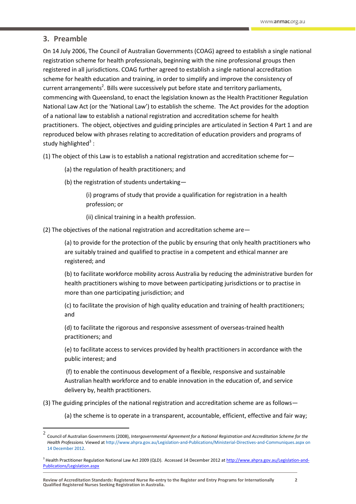# <span id="page-4-0"></span>**3. Preamble**

On 14 July 2006, The Council of Australian Governments (COAG) agreed to establish a single national registration scheme for health professionals, beginning with the nine professional groups then registered in all jurisdictions. COAG further agreed to establish a single national accreditation scheme for health education and training, in order to simplify and improve the consistency of current arrangements<sup>2</sup>. Bills were successively put before state and territory parliaments, commencing with Queensland, to enact the legislation known as the Health Practitioner Regulation National Law Act (or the 'National Law') to establish the scheme. The Act provides for the adoption of a national law to establish a national registration and accreditation scheme for health practitioners. The object, objectives and guiding principles are articulated in Section 4 Part 1 and are reproduced below with phrases relating to accreditation of education providers and programs of study highlighted<sup>3</sup>:

(1) The object of this Law is to establish a national registration and accreditation scheme for  $-$ 

- (a) the regulation of health practitioners; and
- (b) the registration of students undertaking—

(i) programs of study that provide a qualification for registration in a health profession; or

- (ii) clinical training in a health profession.
- (2) The objectives of the national registration and accreditation scheme are—

(a) to provide for the protection of the public by ensuring that only health practitioners who are suitably trained and qualified to practise in a competent and ethical manner are registered; and

(b) to facilitate workforce mobility across Australia by reducing the administrative burden for health practitioners wishing to move between participating jurisdictions or to practise in more than one participating jurisdiction; and

(c) to facilitate the provision of high quality education and training of health practitioners; and

(d) to facilitate the rigorous and responsive assessment of overseas-trained health practitioners; and

(e) to facilitate access to services provided by health practitioners in accordance with the public interest; and

(f) to enable the continuous development of a flexible, responsive and sustainable Australian health workforce and to enable innovation in the education of, and service delivery by, health practitioners.

- (3) The guiding principles of the national registration and accreditation scheme are as follows—
	- (a) the scheme is to operate in a transparent, accountable, efficient, effective and fair way;

 $\frac{1}{2}$ Council of Australian Governments (2008), *Intergovernmental Agreement for a National Registration and Accreditation Scheme for the Health Professions*. Viewed a[t http://www.ahpra.gov.au/Legislation-and-Publications/Ministerial-Directives-and-Communiques.aspx on](http://www.ahpra.gov.au/Legislation-and-Publications/Ministerial-Directives-and-Communiques.aspx%20on%2014%20December%202012)  [14 December 2012.](http://www.ahpra.gov.au/Legislation-and-Publications/Ministerial-Directives-and-Communiques.aspx%20on%2014%20December%202012)

<sup>&</sup>lt;sup>3</sup> Health Practitioner Regulation National Law Act 2009 (QLD). Accessed 14 December 2012 a[t http://www.ahpra.gov.au/Legislation-and-](http://www.ahpra.gov.au/Legislation-and-Publications/Legislation.aspx)[Publications/Legislation.aspx](http://www.ahpra.gov.au/Legislation-and-Publications/Legislation.aspx)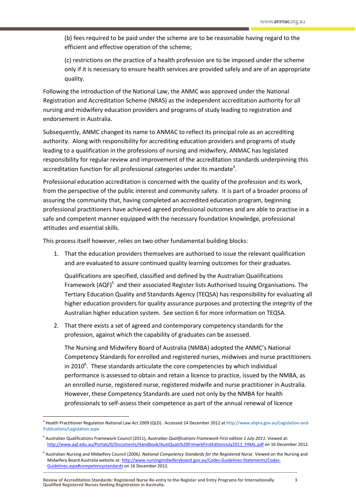(b) fees required to be paid under the scheme are to be reasonable having regard to the efficient and effective operation of the scheme;

(c) restrictions on the practice of a health profession are to be imposed under the scheme only if it is necessary to ensure health services are provided safely and are of an appropriate quality.

Following the introduction of the National Law, the ANMC was approved under the National Registration and Accreditation Scheme (NRAS) as the independent accreditation authority for all nursing and midwifery education providers and programs of study leading to registration and endorsement in Australia.

Subsequently, ANMC changed its name to ANMAC to reflect its principal role as an accrediting authority. Along with responsibility for accrediting education providers and programs of study leading to a qualification in the professions of nursing and midwifery, ANMAC has legislated responsibility for regular review and improvement of the accreditation standards underpinning this accreditation function for all professional categories under its mandate<sup>4</sup>.

Professional education accreditation is concerned with the quality of the profession and its work, from the perspective of the public interest and community safety. It is part of a broader process of assuring the community that, having completed an accredited education program, beginning professional practitioners have achieved agreed professional outcomes and are able to practise in a safe and competent manner equipped with the necessary foundation knowledge, professional attitudes and essential skills.

This process itself however, relies on two other fundamental building blocks:

1. That the education providers themselves are authorised to issue the relevant qualification and are evaluated to assure continued quality learning outcomes for their graduates.

Qualifications are specified, classified and defined by the Australian Qualifications Framework (AQF)<sup>5</sup> and their associated Register lists Authorised Issuing Organisations. The Tertiary Education Quality and Standards Agency (TEQSA) has responsibility for evaluating all higher education providers for quality assurance purposes and protecting the integrity of the Australian higher education system. See section 6 for more information on TEQSA.

2. That there exists a set of agreed and contemporary competency standards for the profession, against which the capability of graduates can be assessed.

The Nursing and Midwifery Board of Australia (NMBA) adopted the ANMC's National Competency Standards for enrolled and registered nurses, midwives and nurse practitioners in 2010 $^6$ . These standards articulate the core competencies by which individual performance is assessed to obtain and retain a licence to practice, issued by the NMBA, as an enrolled nurse, registered nurse, registered midwife and nurse practitioner in Australia. However, these Competency Standards are used not only by the NMBA for health professionals to self-assess their competence as part of the annual renewal of licence

<sup>4</sup> Health Practitioner Regulation National Law Act 2009 (QLD). Accessed 14 December 2012 a[t http://www.ahpra.gov.au/Legislation-and-](http://www.ahpra.gov.au/Legislation-and-Publications/Legislation.aspx)[Publications/Legislation.aspx](http://www.ahpra.gov.au/Legislation-and-Publications/Legislation.aspx)

<sup>5</sup> Australian Qualifications Framework Council (2011), *Australian Qualifications Framework First edition 1 July 2011*. Viewed at: [http://www.aqf.edu.au/Portals/0/Documents/Handbook/AustQuals%20FrmwrkFirstEditionJuly2011\\_FINAL.pdf](http://www.aqf.edu.au/Portals/0/Documents/Handbook/AustQuals%20FrmwrkFirstEditionJuly2011_FINAL.pdf) on 16 December 2012.

<sup>6</sup> Australian Nursing and Midwifery Council (2006*). National Competency Standards for the Registered Nurse*. Viewed on the Nursing and Midwifery Board Australia website at: [http://www.nursingmidwiferyboard.gov.au/Codes-Guidelines-Statements/Codes-](http://www.nursingmidwiferyboard.gov.au/Codes-Guidelines-Statements/Codes-Guidelines.aspx#competencystandards)[Guidelines.aspx#competencystandards](http://www.nursingmidwiferyboard.gov.au/Codes-Guidelines-Statements/Codes-Guidelines.aspx#competencystandards) on 16 December 2012.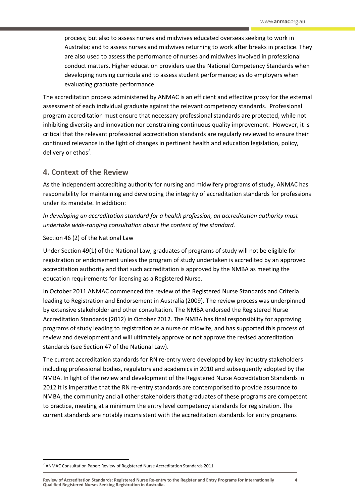process; but also to assess nurses and midwives educated overseas seeking to work in Australia; and to assess nurses and midwives returning to work after breaks in practice. They are also used to assess the performance of nurses and midwives involved in professional conduct matters. Higher education providers use the National Competency Standards when developing nursing curricula and to assess student performance; as do employers when evaluating graduate performance.

The accreditation process administered by ANMAC is an efficient and effective proxy for the external assessment of each individual graduate against the relevant competency standards. Professional program accreditation must ensure that necessary professional standards are protected, while not inhibiting diversity and innovation nor constraining continuous quality improvement. However, it is critical that the relevant professional accreditation standards are regularly reviewed to ensure their continued relevance in the light of changes in pertinent health and education legislation, policy, delivery or ethos<sup>7</sup>.

## <span id="page-6-0"></span>**4. Context of the Review**

As the independent accrediting authority for nursing and midwifery programs of study, ANMAC has responsibility for maintaining and developing the integrity of accreditation standards for professions under its mandate. In addition:

*In developing an accreditation standard for a health profession, an accreditation authority must undertake wide-ranging consultation about the content of the standard.* 

#### Section 46 (2) of the National Law

Under Section 49(1) of the National Law, graduates of programs of study will not be eligible for registration or endorsement unless the program of study undertaken is accredited by an approved accreditation authority and that such accreditation is approved by the NMBA as meeting the education requirements for licensing as a Registered Nurse.

In October 2011 ANMAC commenced the review of the Registered Nurse Standards and Criteria leading to Registration and Endorsement in Australia (2009). The review process was underpinned by extensive stakeholder and other consultation. The NMBA endorsed the Registered Nurse Accreditation Standards (2012) in October 2012. The NMBA has final responsibility for approving programs of study leading to registration as a nurse or midwife, and has supported this process of review and development and will ultimately approve or not approve the revised accreditation standards (see Section 47 of the National Law).

The current accreditation standards for RN re-entry were developed by key industry stakeholders including professional bodies, regulators and academics in 2010 and subsequently adopted by the NMBA. In light of the review and development of the Registered Nurse Accreditation Standards in 2012 it is imperative that the RN re-entry standards are contemporised to provide assurance to NMBA, the community and all other stakeholders that graduates of these programs are competent to practice, meeting at a minimum the entry level competency standards for registration. The current standards are notably inconsistent with the accreditation standards for entry programs

**.** 

**4**

 $^7$  ANMAC Consultation Paper: Review of Registered Nurse Accreditation Standards 2011

**Review of Accreditation Standards: Registered Nurse Re-entry to the Register and Entry Programs for Internationally Qualified Registered Nurses Seeking Registration in Australia.**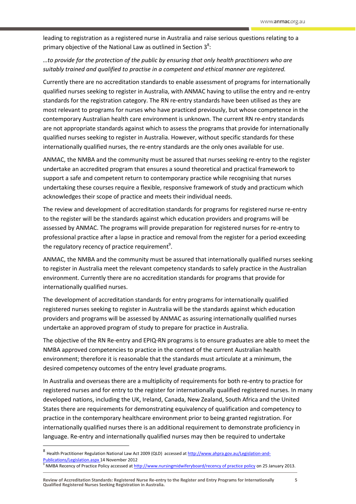leading to registration as a registered nurse in Australia and raise serious questions relating to a primary objective of the National Law as outlined in Section  $3<sup>8</sup>$ :

# *…to provide for the protection of the public by ensuring that only health practitioners who are suitably trained and qualified to practise in a competent and ethical manner are registered.*

Currently there are no accreditation standards to enable assessment of programs for internationally qualified nurses seeking to register in Australia, with ANMAC having to utilise the entry and re-entry standards for the registration category. The RN re-entry standards have been utilised as they are most relevant to programs for nurses who have practiced previously, but whose competence in the contemporary Australian health care environment is unknown. The current RN re-entry standards are not appropriate standards against which to assess the programs that provide for internationally qualified nurses seeking to register in Australia. However, without specific standards for these internationally qualified nurses, the re-entry standards are the only ones available for use.

ANMAC, the NMBA and the community must be assured that nurses seeking re-entry to the register undertake an accredited program that ensures a sound theoretical and practical framework to support a safe and competent return to contemporary practice while recognising that nurses undertaking these courses require a flexible, responsive framework of study and practicum which acknowledges their scope of practice and meets their individual needs.

The review and development of accreditation standards for programs for registered nurse re-entry to the register will be the standards against which education providers and programs will be assessed by ANMAC. The programs will provide preparation for registered nurses for re-entry to professional practice after a lapse in practice and removal from the register for a period exceeding the regulatory recency of practice requirement<sup>9</sup>.

ANMAC, the NMBA and the community must be assured that internationally qualified nurses seeking to register in Australia meet the relevant competency standards to safely practice in the Australian environment. Currently there are no accreditation standards for programs that provide for internationally qualified nurses.

The development of accreditation standards for entry programs for internationally qualified registered nurses seeking to register in Australia will be the standards against which education providers and programs will be assessed by ANMAC as assuring internationally qualified nurses undertake an approved program of study to prepare for practice in Australia.

The objective of the RN Re-entry and EPIQ-RN programs is to ensure graduates are able to meet the NMBA approved competencies to practice in the context of the current Australian health environment; therefore it is reasonable that the standards must articulate at a minimum, the desired competency outcomes of the entry level graduate programs.

In Australia and overseas there are a multiplicity of requirements for both re-entry to practice for registered nurses and for entry to the register for internationally qualified registered nurses. In many developed nations, including the UK, Ireland, Canada, New Zealand, South Africa and the United States there are requirements for demonstrating equivalency of qualification and competency to practice in the contemporary healthcare environment prior to being granted registration. For internationally qualified nurses there is an additional requirement to demonstrate proficiency in language. Re-entry and internationally qualified nurses may then be required to undertake

<sup>8&</sup>lt;br>Health Practitioner Regulation National Law Act 2009 (QLD) accessed a[t http://www.ahpra.gov.au/Legislation-and-](http://www.ahpra.gov.au/Legislation-and-Publications/Legislation.aspx)[Publications/Legislation.aspx](http://www.ahpra.gov.au/Legislation-and-Publications/Legislation.aspx) 14 November 2012

<sup>&</sup>lt;sup>9</sup> NMBA Recency of Practice Policy accessed a[t http://www.nursingmidwiferyboard/recency of practice policy](http://www.nursingmidwiferyboard.gov.au/documents/default.aspx?record=WD12%2F7698&dbid=AP&chksum=4MTWJHf296MwMS0twYdxkA%3D%3D) on 25 January 2013.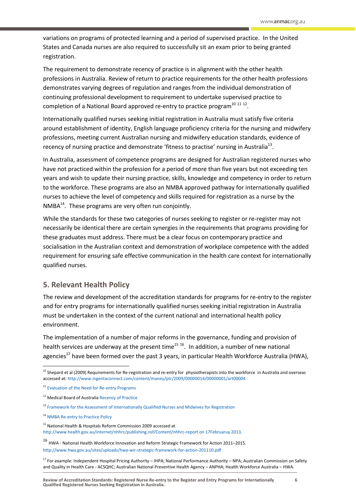variations on programs of protected learning and a period of supervised practice. In the United States and Canada nurses are also required to successfully sit an exam prior to being granted registration.

The requirement to demonstrate recency of practice is in alignment with the other health professions in Australia. Review of return to practice requirements for the other health professions demonstrates varying degrees of regulation and ranges from the individual demonstration of continuing professional development to requirement to undertake supervised practice to completion of a National Board approved re-entry to practice program<sup>10 11 12</sup>.

Internationally qualified nurses seeking initial registration in Australia must satisfy five criteria around establishment of identity, English language proficiency criteria for the nursing and midwifery professions, meeting current Australian nursing and midwifery education standards, evidence of recency of nursing practice and demonstrate 'fitness to practise' nursing in Australia<sup>13</sup>.

In Australia, assessment of competence programs are designed for Australian registered nurses who have not practiced within the profession for a period of more than five years but not exceeding ten years and wish to update their nursing practice, skills, knowledge and competency in order to return to the workforce. These programs are also an NMBA approved pathway for internationally qualified nurses to achieve the level of competency and skills required for registration as a nurse by the  $NMBA<sup>14</sup>$ . These programs are very often run conjointly.

While the standards for these two categories of nurses seeking to register or re-register may not necessarily be identical there are certain synergies in the requirements that programs providing for these graduates must address. There must be a clear focus on contemporary practice and socialisation in the Australian context and demonstration of workplace competence with the added requirement for ensuring safe effective communication in the health care context for internationally qualified nurses.

# <span id="page-8-0"></span>**5. Relevant Health Policy**

The review and development of the accreditation standards for programs for re-entry to the register and for entry programs for internationally qualified nurses seeking initial registration in Australia must be undertaken in the context of the current national and international health policy environment.

The implementation of a number of major reforms in the governance, funding and provision of health services are underway at the present time<sup>15 16</sup>. In addition, a number of new national agencies<sup>17</sup> have been formed over the past 3 years, in particular Health Workforce Australia (HWA),

<sup>&</sup>lt;sup>10</sup> Shepard et al (2009) Requirements for Re-registration and re-entry for physiotherapists into the workforce in Australia and overseas accessed at[: http://www.ingentaconnect.com/content/maney/ptr/2009/00000014/00000001/art00004](http://www.ingentaconnect.com/content/maney/ptr/2009/00000014/00000001/art00004)

<sup>&</sup>lt;sup>11</sup> [Evaluation of the Need for Re-entry Programs](http://www.google.com.au/url?sa=t&rct=j&q=evaluation%20of%20the%20need%20for%20re-entry%20programs&source=web&cd=1&cad=rja&ved=0CDIQFjAA&url=http%3A%2F%2Fwww.ochpo.health.wa.gov.au%2Fdocs%2FEvaluation_of_the_need_for_re-entry_programs.pdf&ei=ez7qUMWGIYyUkgWo3oGgBw&usg=AFQjCNF1GUo3olq07xbB3N0GtF6qi6sYMw)

<sup>&</sup>lt;sup>12</sup> Medical Board of Australia [Recency of Practice](http://www.google.com.au/url?sa=t&rct=j&q=recency%20of%20practice%20registration%20standard%20medical%20practiiotenrd&source=web&cd=1&cad=rja&ved=0CDUQFjAA&url=http%3A%2F%2Fwww.health.qld.gov.au%2Fmedical%2Fdocs%2Frecency-practice-reg.pdf&ei=8kHqUK_AJoSWiQfgjIHoBQ&usg=AFQjCNHRFvOhD3S7yOfBhzp1ge3dlyzPWg)

<sup>&</sup>lt;sup>13</sup> [Framework for the Assessment of Internationally](http://www.nursingmidwiferyboard.gov.au/documents/default.aspx?record=WD10%2f3192&dbid=AP&chksum=rbtIhlZj1%2fRDYU7puzOixw%3d%3d) Qualified Nurses and Midwives for Registration

<sup>&</sup>lt;sup>14</sup> [NMBA Re-entry to Practice Policy](http://www.google.com.au/url?sa=t&rct=j&q=assessment%20of%20competence%20programs%20are%20designed%20for%20australian%20registered%20and%20enrolled%20nurses%20who%20have%20not%20practiced%20within%20the%20profession%20for%20a%20period%20of%20more%20than%20five%20years%20but%20not%20exceeding%2010%20years%20and%20wish%20to%20update%20their%20nursing%20and%20skills%2C%20knowledge%20and%20competency%20in%20order%20to%20return%20to%20the%20workforce.%20this%20program%20is%20a%20nursing%20and%20midwifery%20board%20of%20australia%20(nmba)%20approved%20pathway%20for%20internationally-qualified%20nurses%20to%20achieve%20the%20level%20of%20competency%20and%20skills%20required%20for%20registration%20as%20a%20nurse%20by%20the%20nmba.&source=web&cd=3&ved=0CDwQFjAC&url=http%3A%2F%2Fwww.nursingmidwiferyboard.gov.au%2Fdocuments%2Fdefault.aspx%3Frecord%3DWD12%252F7698%26dbid%3DAP%26chksum%3D4MTWJHf296MwMS0twYdxkA%253D%253D&ei=wp_SUOTSA-yTiAf7sIHgBw&usg=AFQjCNEgobmXPZrCx0SJvqQYsELBl1d0ng)

<sup>15</sup> National Health & Hospitals Reform Commission 2009 accessed at [http://www.health.gov.au/internet/nhhrc/publishing.nsf/Content/nhhrc-report on 17Februaruy 2013.](http://www.health.gov.au/internet/nhhrc/publishing.nsf/Content/nhhrc-report%20on%2017Februaruy%202013)

<sup>16</sup> HWA - National Health Workforce Innovation and Reform Strategic Framework for Action 2011–2015. <http://www.hwa.gov.au/sites/uploads/hwa-wir-strategic-framework-for-action-201110.pdf>

<sup>&</sup>lt;sup>17</sup> For example: Independent Hospital Pricing Authority – IHPA; National Performance Authority – NPA; Australian Commission on Safety and Quality in Health Care - ACSQHC; Australian National Preventive Health Agency – ANPHA; Health Workforce Australia – HWA.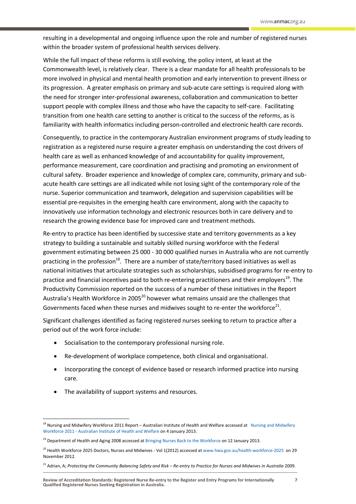resulting in a developmental and ongoing influence upon the role and number of registered nurses within the broader system of professional health services delivery.

While the full impact of these reforms is still evolving, the policy intent, at least at the Commonwealth level, is relatively clear. There is a clear mandate for all health professionals to be more involved in physical and mental health promotion and early intervention to prevent illness or its progression. A greater emphasis on primary and sub-acute care settings is required along with the need for stronger inter-professional awareness, collaboration and communication to better support people with complex illness and those who have the capacity to self-care. Facilitating transition from one health care setting to another is critical to the success of the reforms, as is familiarity with health informatics including person-controlled and electronic health care records.

Consequently, to practice in the contemporary Australian environment programs of study leading to registration as a registered nurse require a greater emphasis on understanding the cost drivers of health care as well as enhanced knowledge of and accountability for quality improvement, performance measurement, care coordination and practising and promoting an environment of cultural safety. Broader experience and knowledge of complex care, community, primary and subacute health care settings are all indicated while not losing sight of the contemporary role of the nurse. Superior communication and teamwork, delegation and supervision capabilities will be essential pre-requisites in the emerging health care environment, along with the capacity to innovatively use information technology and electronic resources both in care delivery and to research the growing evidence base for improved care and treatment methods.

Re-entry to practice has been identified by successive state and territory governments as a key strategy to building a sustainable and suitably skilled nursing workforce with the Federal government estimating between 25 000 - 30 000 qualified nurses in Australia who are not currently practicing in the profession<sup>18</sup>. There are a number of state/territory based initiatives as well as national initiatives that articulate strategies such as scholarships, subsidised programs for re-entry to practice and financial incentives paid to both re-entering practitioners and their employers<sup>19</sup>. The Productivity Commission reported on the success of a number of these initiatives in the Report Australia's Health Workforce in 2005<sup>20</sup> however what remains unsaid are the challenges that Governments faced when these nurses and midwives sought to re-enter the workforce<sup>21</sup>.

Significant challenges identified as facing registered nurses seeking to return to practice after a period out of the work force include:

- Socialisation to the contemporary professional nursing role.
- Re-development of workplace competence, both clinical and organisational.
- Incorporating the concept of evidence based or research informed practice into nursing care.
- The availability of support systems and resources.

 $\overline{a}$ 

<sup>&</sup>lt;sup>18</sup> [Nursing and Midwifery](http://www.google.com.au/url?sa=t&rct=j&q=re-entry%20to%20practice%20nursing%2030%2C000%20qualified%20nurses%20in%20australia%20who%20are%20not%20currently%20practicing%20in%20the%20profession&source=web&cd=4&cad=rja&ved=0CEMQFjAD&url=http%3A%2F%2Fwww.aihw.gov.au%2FWorkArea%2FDownloadAsset.aspx%3Fid%3D10737422164&ei=Dx3qUNXRB4mRkwWnnIGIAQ&usg=AFQjCNGIxIsTKBaGdNDuytLLJ_9Unx4ZZA) Workforce 2011 Report – Australian Institute of Health and Welfare accessed at Nursing and Midwifery Workforce 2011 - [Australian Institute of Health and Welfare](http://www.google.com.au/url?sa=t&rct=j&q=re-entry%20to%20practice%20nursing%2030%2C000%20qualified%20nurses%20in%20australia%20who%20are%20not%20currently%20practicing%20in%20the%20profession&source=web&cd=4&cad=rja&ved=0CEMQFjAD&url=http%3A%2F%2Fwww.aihw.gov.au%2FWorkArea%2FDownloadAsset.aspx%3Fid%3D10737422164&ei=Dx3qUNXRB4mRkwWnnIGIAQ&usg=AFQjCNGIxIsTKBaGdNDuytLLJ_9Unx4ZZA) on 4 January 2013.

<sup>&</sup>lt;sup>19</sup> Department of Health and Aging 2008 accessed a[t Bringing Nurses Back to the Workforce](http://www.google.com.au/url?sa=t&rct=j&q=rudd%20government%20to%20bring%20nurses%20back%20into%20the%20workforce&source=web&cd=1&cad=rja&sqi=2&ved=0CC8QFjAA&url=http%3A%2F%2Fwww.health.gov.au%2Finternet%2Fministers%2Fpublishing.nsf%2FContent%2Fmr-yr08-nr-nr008.htm&ei=4fcJUcPCE8W6kQXv34DwCg&usg=AFQjCNEiR6a8iHf_KsVqJOuefBAiWX1X0A) on 12 January 2013.

<sup>20</sup> Health Workforce 2025 Doctors, Nurses and Midwives - Vol 1(2012) accessed a[t www.hwa.gov.au/health-workforce-2025](http://www.hwa.gov.au/health-workforce-2025) on 29 November 2012.

<sup>&</sup>lt;sup>21</sup> Adrian, A; Protecting the Community Balancing Safety and Risk – Re-entry to Practice for Nurses and Midwives in Australia 2009.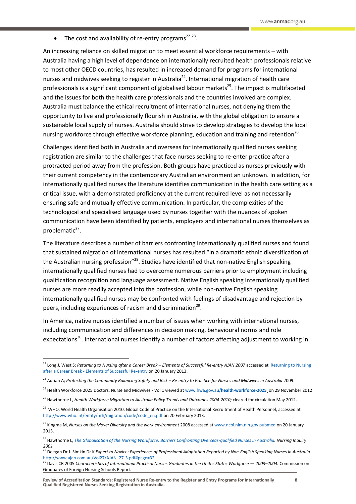• The cost and availability of re-entry programs<sup>22</sup> <sup>23</sup>.

An increasing reliance on skilled migration to meet essential workforce requirements – with Australia having a high level of dependence on internationally recruited health professionals relative to most other OECD countries, has resulted in increased demand for programs for international nurses and midwives seeking to register in Australia<sup>24</sup>. International migration of health care professionals is a significant component of globalised labour markets<sup>25</sup>. The impact is multifaceted and the issues for both the health care professionals and the countries involved are complex. Australia must balance the ethical recruitment of international nurses, not denying them the opportunity to live and professionally flourish in Australia, with the global obligation to ensure a sustainable local supply of nurses. Australia should strive to develop strategies to develop the local nursing workforce through effective workforce planning, education and training and retention<sup>26</sup>

Challenges identified both in Australia and overseas for internationally qualified nurses seeking registration are similar to the challenges that face nurses seeking to re-enter practice after a protracted period away from the profession. Both groups have practiced as nurses previously with their current competency in the contemporary Australian environment an unknown. In addition, for internationally qualified nurses the literature identifies communication in the health care setting as a critical issue, with a demonstrated proficiency at the current required level as not necessarily ensuring safe and mutually effective communication. In particular, the complexities of the technological and specialised language used by nurses together with the nuances of spoken communication have been identified by patients, employers and international nurses themselves as problematic<sup>27</sup>.

The literature describes a number of barriers confronting internationally qualified nurses and found that sustained migration of international nurses has resulted "in a dramatic ethnic diversification of the Australian nursing profession"<sup>28</sup>. Studies have identified that non-native English speaking internationally qualified nurses had to overcome numerous barriers prior to employment including qualification recognition and language assessment. Native English speaking internationally qualified nurses are more readily accepted into the profession, while non-native English speaking internationally qualified nurses may be confronted with feelings of disadvantage and rejection by peers, including experiences of racism and discrimination<sup>29</sup>.

In America, native nurses identified a number of issues when working with international nurses, including communication and differences in decision making, behavioural norms and role expectations<sup>30</sup>. International nurses identify a number of factors affecting adjustment to working in

<sup>&</sup>lt;sup>22</sup> Long J, West S; [Returning to Nursing](http://www.google.com.au/url?sa=t&rct=j&q=ryan%2C%20re%20entry%20to%20practice%20nurses%20&source=web&cd=7&cad=rja&ved=0CFMQFjAG&url=http%3A%2F%2Fwww.ajan.com.au%2FVol25%2FVol25.1.pdf&ei=GPkJUZjwIZCQiAfc-YDoDA&usg=AFQjCNH2cHqwUKL88MQPHlGk7I1nDTnEqA) after a Career Break – Elements of Successful Re-entry AJAN 2007 accessed at Returning to Nursing after a Career Break - [Elements of Successful Re-entry](http://www.google.com.au/url?sa=t&rct=j&q=ryan%2C%20re%20entry%20to%20practice%20nurses%20&source=web&cd=7&cad=rja&ved=0CFMQFjAG&url=http%3A%2F%2Fwww.ajan.com.au%2FVol25%2FVol25.1.pdf&ei=GPkJUZjwIZCQiAfc-YDoDA&usg=AFQjCNH2cHqwUKL88MQPHlGk7I1nDTnEqA) on 20 January 2013.

<sup>&</sup>lt;sup>23</sup> Adrian A; Protecting the Community Balancing Safety and Risk – Re-entry to Practice for Nurses and Midwives in Australia 2009.

<sup>24</sup> Health Workforce 2025 Doctors, Nurse and Midwives - Vol 1 viewed a[t www.hwa.gov.au/](http://www.hwa.gov.au/health-workforce-2025)**health**-**workforce-2025** on 29 November 2012

<sup>&</sup>lt;sup>25</sup> Hawthorne L, *Health Workforce Migration to Australia Policy Trends and Outcomes 2004-2010; cleared for circulation May 2012.* 

<sup>&</sup>lt;sup>26</sup> WHO, World Health Organisation 2010, Global Code of Practice on the International Recruitment of Health Personnel, accessed at [http://www.who.int/entity/hrh/migration/code/code\\_en.pdf](http://www.who.int/entity/hrh/migration/code/code_en.pdf) on 20 February 2013.

<sup>27</sup> Kingma M, *Nurses on the Move: Diversity and the work environment* 2008 accessed a[t www.ncbi.nlm.nih.gov pubmed](http://www.google.com.au/url?sa=t&rct=j&q=nurses%20on%20the%20move%3A%20diversity%20and%20the%20work%20environment&source=web&cd=1&cad=rja&ved=0CDkQFjAA&url=http%3A%2F%2Fwww.ncbi.nlm.nih.gov%2Fpubmed%2F18844573&ei=GQEKUbLzD6qkige21IHQCw&usg=AFQjCNE73qO9jnkSM5XMeMwnH5uZRfEWRw) on 20 January 2013.

<sup>28</sup> Hawthorne L, *[The Globalisation of the Nursing Workforce: Barriers Confronting Overseas-qualified Nurses in Australia.](http://www.findanexpert.unimelb.edu.au/individual/publication1638) Nursing Inquiry 2001*

<sup>29</sup> Deegan Dr J. Simkin Dr K *Expert to Novice: Experiences of Professional Adaptation Reported by Non-English Speaking Nurses in Australia* [http://www.ajan.com.au/Vol27/AJAN\\_27-3.pdf#page=32](http://www.ajan.com.au/Vol27/AJAN_27-3.pdf#page=32)

<sup>30</sup> Davis CR 2005 *Characteristics of International Practical Nurses Graduates in the Unites States Workforce — 2003–2004.* Commission on Graduates of Foreign Nursing Schools Report.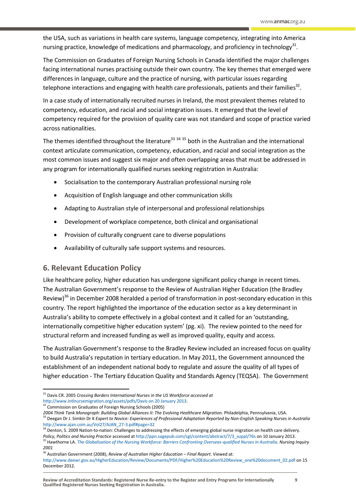the USA, such as variations in health care systems, language competency, integrating into America nursing practice, knowledge of medications and pharmacology, and proficiency in technology<sup>31</sup>.

The Commission on Graduates of Foreign Nursing Schools in Canada identified the major challenges facing international nurses practising outside their own country. The key themes that emerged were differences in language, culture and the practice of nursing, with particular issues regarding telephone interactions and engaging with health care professionals, patients and their families<sup>32</sup>.

In a case study of internationally recruited nurses in Ireland, the most prevalent themes related to competency, education, and racial and social integration issues. It emerged that the level of competency required for the provision of quality care was not standard and scope of practice varied across nationalities.

The themes identified throughout the literature<sup>33 34 35</sup> both in the Australian and the international context articulate communication, competency, education, and racial and social integration as the most common issues and suggest six major and often overlapping areas that must be addressed in any program for internationally qualified nurses seeking registration in Australia:

- Socialisation to the contemporary Australian professional nursing role
- Acquisition of English language and other communication skills
- Adapting to Australian style of interpersonal and professional relationships
- Development of workplace competence, both clinical and organisational
- Provision of culturally congruent care to diverse populations
- Availability of culturally safe support systems and resources.

# <span id="page-11-0"></span>**6. Relevant Education Policy**

Like healthcare policy, higher education has undergone significant policy change in recent times. The Australian Government's response to the Review of Australian Higher Education (the Bradley Review)<sup>36</sup> in December 2008 heralded a period of transformation in post-secondary education in this country. The report highlighted the importance of the education sector as a key determinant in Australia's ability to compete effectively in a global context and it called for an 'outstanding, internationally competitive higher education system' (pg. xi). The review pointed to the need for structural reform and increased funding as well as improved quality, equity and access.

The Australian Government's response to the Bradley Review included an increased focus on quality to build Australia's reputation in tertiary education. In May 2011, the Government announced the establishment of an independent national body to regulate and assure the quality of all types of higher education - The Tertiary Education Quality and Standards Agency (TEQSA). The Government

<sup>31</sup> Davis CR. 2005 *Crossing Borders International Nurses in the US Workforce accessed at*  [http://www.intlnursemigration.org/assets/pdfs/Davis on 20 January 2013.](http://www.intlnursemigration.org/assets/pdfs/Davis%20on%2020%20January%202013)

<sup>&</sup>lt;sup>32</sup> Commission on Graduates of Foreign Nursing Schools (2005)

*<sup>2004</sup> Think Tank Monograph: Building Global Alliances II: The Evolving Healthcare Migration.* Philadelphia, Pennsylvania, USA. <sup>33</sup> Deegan Dr J. Simkin Dr K *Expert to Novice: Experiences of Professional Adaptation Reported by Non-English Speaking Nurses in Australia* [http://www.ajan.com.au/Vol27/AJAN\\_27-3.pdf#page=32](http://www.ajan.com.au/Vol27/AJAN_27-3.pdf#page=32)

<sup>&</sup>lt;sup>4</sup> Denton, S. 2009 Nation-to-nation: Challenges to addressing the effects of emerging global nurse migration on health care delivery. *Policy, Politics and Nursing Practice* accessed a[t http://ppn.sagepub.com/cgi/content/abstract/7/3\\_suppl/76s](http://ppn.sagepub.com/cgi/content/abstract/7/3_suppl/76s) on 10 January 2013.

<sup>35</sup> Hawthorne LA. *[The Globalisation of the Nursing Workforce: Barriers Confronting Overseas-qualified Nurses in Australia.](http://www.findanexpert.unimelb.edu.au/individual/publication1638) Nursing Inquiry 2001* <sup>36</sup> Australian Government (2008), *Review of Australian Higher Education – Final Report*. Viewed at:

[http://www.deewr.gov.au/HigherEducation/Review/Documents/PDF/Higher%20Education%20Review\\_one%20document\\_02.pdf](http://www.deewr.gov.au/HigherEducation/Review/Documents/PDF/Higher%20Education%20Review_one%20document_02.pdf) on 15 December 2012.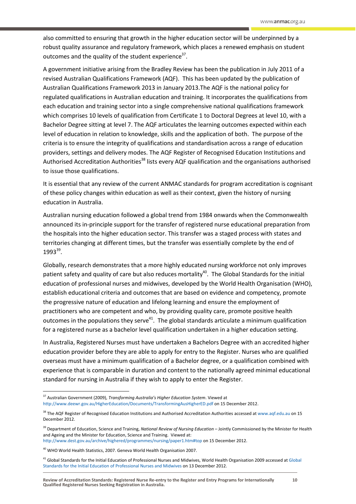also committed to ensuring that growth in the higher education sector will be underpinned by a robust quality assurance and regulatory framework, which places a renewed emphasis on student outcomes and the quality of the student experience<sup>37</sup>.

A government initiative arising from the Bradley Review has been the publication in July 2011 of a revised Australian Qualifications Framework (AQF). This has been updated by the publication of Australian Qualifications Framework 2013 in January 2013.The AQF is the national policy for regulated qualifications in Australian education and training. It incorporates the qualifications from each education and training sector into a single comprehensive national qualifications framework which comprises 10 levels of qualification from Certificate 1 to Doctoral Degrees at level 10, with a Bachelor Degree sitting at level 7. The AQF articulates the learning outcomes expected within each level of education in relation to knowledge, skills and the application of both. The purpose of the criteria is to ensure the integrity of qualifications and standardisation across a range of education providers, settings and delivery modes. The AQF Register of Recognised Education Institutions and Authorised Accreditation Authorities<sup>38</sup> lists every AQF qualification and the organisations authorised to issue those qualifications.

It is essential that any review of the current ANMAC standards for program accreditation is cognisant of these policy changes within education as well as their context, given the history of nursing education in Australia.

Australian nursing education followed a global trend from 1984 onwards when the Commonwealth announced its in-principle support for the transfer of registered nurse educational preparation from the hospitals into the higher education sector. This transfer was a staged process with states and territories changing at different times, but the transfer was essentially complete by the end of  $1993^{39}$ .

Globally, research demonstrates that a more highly educated nursing workforce not only improves patient safety and quality of care but also reduces mortality<sup>40</sup>. The Global Standards for the initial education of professional nurses and midwives, developed by the World Health Organisation (WHO), establish educational criteria and outcomes that are based on evidence and competency, promote the progressive nature of education and lifelong learning and ensure the employment of practitioners who are competent and who, by providing quality care, promote positive health outcomes in the populations they serve<sup>41</sup>. The global standards articulate a minimum qualification for a registered nurse as a bachelor level qualification undertaken in a higher education setting.

In Australia, Registered Nurses must have undertaken a Bachelors Degree with an accredited higher education provider before they are able to apply for entry to the Register. Nurses who are qualified overseas must have a minimum qualification of a Bachelor degree, or a qualification combined with experience that is comparable in duration and content to the nationally agreed minimal educational standard for nursing in Australia if they wish to apply to enter the Register.

<sup>37</sup> Australian Government (2009), *Transforming Australia's Higher Education System*. Viewed at <http://www.deewr.gov.au/HigherEducation/Documents/TransformingAusHigherED.pdf> on 15 December 2012.

<sup>&</sup>lt;sup>38</sup> The AQF Register of Recognised Education Institutions and Authorised Accreditation Authorities accessed a[t www.aqf.edu.au](http://www.aqf.edu.au/) on 15 December 2012.

<sup>39</sup> Department of Education, Science and Training, *National Review of Nursing Education* – Jointly Commissioned by the Minister for Health and Ageing and the Minister for Education, Science and Training. Viewed at:

<http://www.dest.gov.au/archive/highered/programmes/nursing/paper1.htm#top> on 15 December 2012.

<sup>40</sup> WHO World Health Statistics, 2007. Geneva World Health Organisation 2007.

<sup>&</sup>lt;sup>41</sup> Global Standards for the Initial Education of Professional Nurses and Midwives, World Health Organisation 2009 accessed at Global [Standards for the Initial Education of Professional Nurses and Midwives](http://www.google.com.au/url?sa=t&rct=j&q=global%20standards%20for%20the%20initial%20education%20of%20professional%20nurses%20and%20midwives%2C%20world%20health%20organisation%202009%20accessed%20at%20&source=web&cd=2&cad=rja&ved=0CDcQFjAB&url=http%3A%2F%2Fwww.who.int%2Fhrh%2Fnursing_midwifery%2Fhrh_global_standards_education.pdf&ei=MwzJUPPTEOeviQfe8ICABQ&usg=AFQjCNEfhAzOeh1qKTbig2LO3k7xHEcfCQ) on 13 December 2012.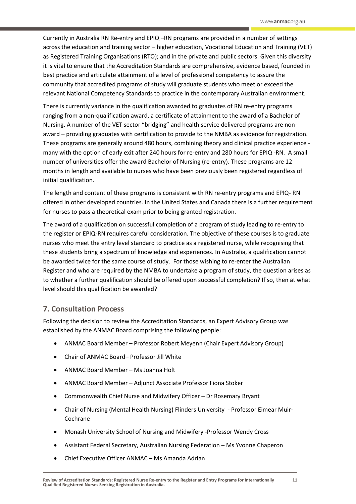Currently in Australia RN Re-entry and EPIQ –RN programs are provided in a number of settings across the education and training sector – higher education, Vocational Education and Training (VET) as Registered Training Organisations (RTO); and in the private and public sectors. Given this diversity it is vital to ensure that the Accreditation Standards are comprehensive, evidence based, founded in best practice and articulate attainment of a level of professional competency to assure the community that accredited programs of study will graduate students who meet or exceed the relevant National Competency Standards to practice in the contemporary Australian environment.

There is currently variance in the qualification awarded to graduates of RN re-entry programs ranging from a non-qualification award, a certificate of attainment to the award of a Bachelor of Nursing. A number of the VET sector "bridging" and health service delivered programs are nonaward – providing graduates with certification to provide to the NMBA as evidence for registration. These programs are generally around 480 hours, combining theory and clinical practice experience many with the option of early exit after 240 hours for re-entry and 280 hours for EPIQ -RN. A small number of universities offer the award Bachelor of Nursing (re-entry). These programs are 12 months in length and available to nurses who have been previously been registered regardless of initial qualification.

The length and content of these programs is consistent with RN re-entry programs and EPIQ- RN offered in other developed countries. In the United States and Canada there is a further requirement for nurses to pass a theoretical exam prior to being granted registration.

The award of a qualification on successful completion of a program of study leading to re-entry to the register or EPIQ-RN requires careful consideration. The objective of these courses is to graduate nurses who meet the entry level standard to practice as a registered nurse, while recognising that these students bring a spectrum of knowledge and experiences. In Australia, a qualification cannot be awarded twice for the same course of study. For those wishing to re-enter the Australian Register and who are required by the NMBA to undertake a program of study, the question arises as to whether a further qualification should be offered upon successful completion? If so, then at what level should this qualification be awarded?

# <span id="page-13-0"></span>**7. Consultation Process**

Following the decision to review the Accreditation Standards, an Expert Advisory Group was established by the ANMAC Board comprising the following people:

- ANMAC Board Member Professor Robert Meyenn (Chair Expert Advisory Group)
- Chair of ANMAC Board– Professor Jill White
- ANMAC Board Member Ms Joanna Holt
- ANMAC Board Member Adjunct Associate Professor Fiona Stoker
- Commonwealth Chief Nurse and Midwifery Officer Dr Rosemary Bryant
- Chair of Nursing (Mental Health Nursing) Flinders University Professor Eimear Muir-Cochrane
- Monash University School of Nursing and Midwifery -Professor Wendy Cross
- Assistant Federal Secretary, Australian Nursing Federation Ms Yvonne Chaperon
- Chief Executive Officer ANMAC Ms Amanda Adrian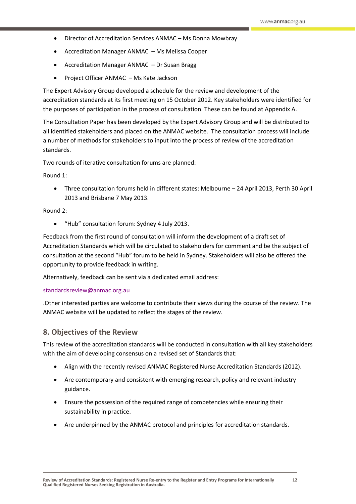- Director of Accreditation Services ANMAC Ms Donna Mowbray
- Accreditation Manager ANMAC Ms Melissa Cooper
- Accreditation Manager ANMAC Dr Susan Bragg
- Project Officer ANMAC Ms Kate Jackson

The Expert Advisory Group developed a schedule for the review and development of the accreditation standards at its first meeting on 15 October 2012. Key stakeholders were identified for the purposes of participation in the process of consultation. These can be found at Appendix A.

The Consultation Paper has been developed by the Expert Advisory Group and will be distributed to all identified stakeholders and placed on the ANMAC website. The consultation process will include a number of methods for stakeholders to input into the process of review of the accreditation standards.

Two rounds of iterative consultation forums are planned:

Round 1:

 Three consultation forums held in different states: Melbourne – 24 April 2013, Perth 30 April 2013 and Brisbane 7 May 2013.

#### Round 2:

"Hub" consultation forum: Sydney 4 July 2013.

Feedback from the first round of consultation will inform the development of a draft set of Accreditation Standards which will be circulated to stakeholders for comment and be the subject of consultation at the second "Hub" forum to be held in Sydney. Stakeholders will also be offered the opportunity to provide feedback in writing.

Alternatively, feedback can be sent via a dedicated email address:

#### [standardsreview@anmac.org.au](mailto:standardsreview@anmac.org.au)

.Other interested parties are welcome to contribute their views during the course of the review. The ANMAC website will be updated to reflect the stages of the review.

### <span id="page-14-0"></span>**8. Objectives of the Review**

This review of the accreditation standards will be conducted in consultation with all key stakeholders with the aim of developing consensus on a revised set of Standards that:

- Align with the recently revised ANMAC Registered Nurse Accreditation Standards (2012).
- Are contemporary and consistent with emerging research, policy and relevant industry guidance.
- Ensure the possession of the required range of competencies while ensuring their sustainability in practice.
- Are underpinned by the ANMAC protocol and principles for accreditation standards.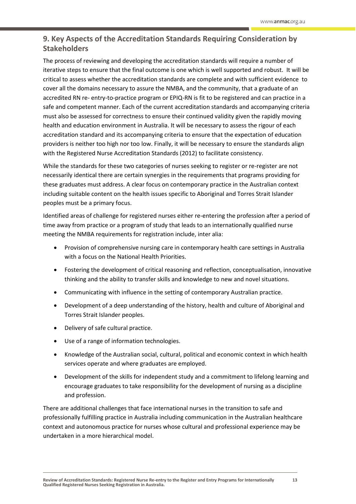# <span id="page-15-0"></span>**9. Key Aspects of the Accreditation Standards Requiring Consideration by Stakeholders**

The process of reviewing and developing the accreditation standards will require a number of iterative steps to ensure that the final outcome is one which is well supported and robust. It will be critical to assess whether the accreditation standards are complete and with sufficient evidence to cover all the domains necessary to assure the NMBA, and the community, that a graduate of an accredited RN re- entry-to-practice program or EPIQ-RN is fit to be registered and can practice in a safe and competent manner. Each of the current accreditation standards and accompanying criteria must also be assessed for correctness to ensure their continued validity given the rapidly moving health and education environment in Australia. It will be necessary to assess the rigour of each accreditation standard and its accompanying criteria to ensure that the expectation of education providers is neither too high nor too low. Finally, it will be necessary to ensure the standards align with the Registered Nurse Accreditation Standards (2012) to facilitate consistency.

While the standards for these two categories of nurses seeking to register or re-register are not necessarily identical there are certain synergies in the requirements that programs providing for these graduates must address. A clear focus on contemporary practice in the Australian context including suitable content on the health issues specific to Aboriginal and Torres Strait Islander peoples must be a primary focus.

Identified areas of challenge for registered nurses either re-entering the profession after a period of time away from practice or a program of study that leads to an internationally qualified nurse meeting the NMBA requirements for registration include, inter alia:

- Provision of comprehensive nursing care in contemporary health care settings in Australia with a focus on the National Health Priorities.
- Fostering the development of critical reasoning and reflection, conceptualisation, innovative thinking and the ability to transfer skills and knowledge to new and novel situations.
- Communicating with influence in the setting of contemporary Australian practice.
- Development of a deep understanding of the history, health and culture of Aboriginal and Torres Strait Islander peoples.
- Delivery of safe cultural practice.
- Use of a range of information technologies.
- Knowledge of the Australian social, cultural, political and economic context in which health services operate and where graduates are employed.
- Development of the skills for independent study and a commitment to lifelong learning and encourage graduates to take responsibility for the development of nursing as a discipline and profession.

There are additional challenges that face international nurses in the transition to safe and professionally fulfilling practice in Australia including communication in the Australian healthcare context and autonomous practice for nurses whose cultural and professional experience may be undertaken in a more hierarchical model.

**13**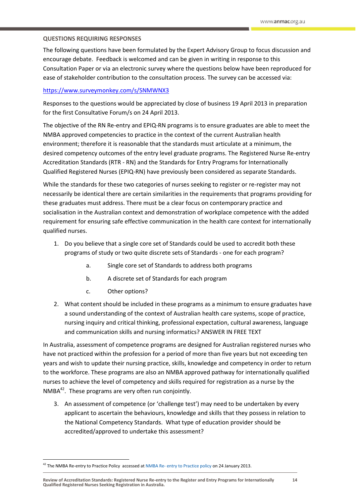#### <span id="page-16-0"></span>**QUESTIONS REQUIRING RESPONSES**

The following questions have been formulated by the Expert Advisory Group to focus discussion and encourage debate. Feedback is welcomed and can be given in writing in response to this Consultation Paper or via an electronic survey where the questions below have been reproduced for ease of stakeholder contribution to the consultation process. The survey can be accessed via:

### <https://www.surveymonkey.com/s/SNMWNX3>

Responses to the questions would be appreciated by close of business 19 April 2013 in preparation for the first Consultative Forum/s on 24 April 2013.

The objective of the RN Re-entry and EPIQ-RN programs is to ensure graduates are able to meet the NMBA approved competencies to practice in the context of the current Australian health environment; therefore it is reasonable that the standards must articulate at a minimum, the desired competency outcomes of the entry level graduate programs. The Registered Nurse Re-entry Accreditation Standards (RTR - RN) and the Standards for Entry Programs for Internationally Qualified Registered Nurses (EPIQ-RN) have previously been considered as separate Standards.

While the standards for these two categories of nurses seeking to register or re-register may not necessarily be identical there are certain similarities in the requirements that programs providing for these graduates must address. There must be a clear focus on contemporary practice and socialisation in the Australian context and demonstration of workplace competence with the added requirement for ensuring safe effective communication in the health care context for internationally qualified nurses.

- 1. Do you believe that a single core set of Standards could be used to accredit both these programs of study or two quite discrete sets of Standards - one for each program?
	- a. Single core set of Standards to address both programs
	- b. A discrete set of Standards for each program
	- c. Other options?
- 2. What content should be included in these programs as a minimum to ensure graduates have a sound understanding of the context of Australian health care systems, scope of practice, nursing inquiry and critical thinking, professional expectation, cultural awareness, language and communication skills and nursing informatics? ANSWER IN FREE TEXT

In Australia, assessment of competence programs are designed for Australian registered nurses who have not practiced within the profession for a period of more than five years but not exceeding ten years and wish to update their nursing practice, skills, knowledge and competency in order to return to the workforce. These programs are also an NMBA approved pathway for internationally qualified nurses to achieve the level of competency and skills required for registration as a nurse by the NMBA<sup>42</sup>. These programs are very often run conjointly.

3. An assessment of competence (or 'challenge test') may need to be undertaken by every applicant to ascertain the behaviours, knowledge and skills that they possess in relation to the National Competency Standards. What type of education provider should be accredited/approved to undertake this assessment?

<sup>&</sup>lt;sup>42</sup> The NMBA Re-entry to Practice Policy accessed at NMBA Re- [entry to Practice policy](http://www.google.com.au/url?sa=t&rct=j&q=nmba%20re%20entry%20to%20practice%20policy&source=web&cd=1&cad=rja&ved=0CC8QFjAA&url=http%3A%2F%2Fwww.nursingmidwiferyboard.gov.au%2Fdocuments%2Fdefault.aspx%3Frecord%3DWD12%252F7698%26dbid%3DAP%26chksum%3D4MTWJHf296MwMS0twYdxkA%253D%253D&ei=XfJbUffMNqG1iQfttYCAAQ&usg=AFQjCNEgobmXPZrCx0SJvqQYsELBl1d0ng) on 24 January 2013.

**Review of Accreditation Standards: Registered Nurse Re-entry to the Register and Entry Programs for Internationally Qualified Registered Nurses Seeking Registration in Australia.**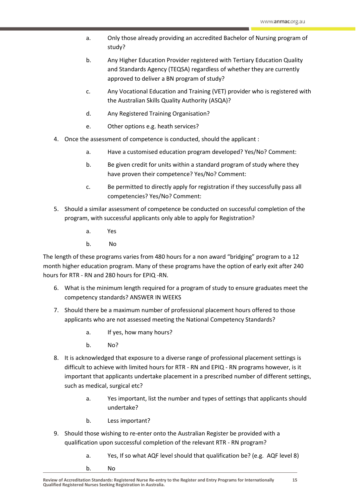- a. Only those already providing an accredited Bachelor of Nursing program of study?
- b. Any Higher Education Provider registered with Tertiary Education Quality and Standards Agency (TEQSA) regardless of whether they are currently approved to deliver a BN program of study?
- c. Any Vocational Education and Training (VET) provider who is registered with the Australian Skills Quality Authority (ASQA)?
- d. Any Registered Training Organisation?
- e. Other options e.g. heath services?
- 4. Once the assessment of competence is conducted, should the applicant :
	- a. Have a customised education program developed? Yes/No? Comment:
	- b. Be given credit for units within a standard program of study where they have proven their competence? Yes/No? Comment:
	- c. Be permitted to directly apply for registration if they successfully pass all competencies? Yes/No? Comment:
- 5. Should a similar assessment of competence be conducted on successful completion of the program, with successful applicants only able to apply for Registration?
	- a. Yes
	- b. No

The length of these programs varies from 480 hours for a non award "bridging" program to a 12 month higher education program. Many of these programs have the option of early exit after 240 hours for RTR - RN and 280 hours for EPIQ -RN.

- 6. What is the minimum length required for a program of study to ensure graduates meet the competency standards? ANSWER IN WEEKS
- 7. Should there be a maximum number of professional placement hours offered to those applicants who are not assessed meeting the National Competency Standards?
	- a. If yes, how many hours?
	- b. No?
- 8. It is acknowledged that exposure to a diverse range of professional placement settings is difficult to achieve with limited hours for RTR - RN and EPIQ - RN programs however, is it important that applicants undertake placement in a prescribed number of different settings, such as medical, surgical etc?
	- a. Yes important, list the number and types of settings that applicants should undertake?
	- b. Less important?
- 9. Should those wishing to re-enter onto the Australian Register be provided with a qualification upon successful completion of the relevant RTR - RN program?
	- a. Yes, If so what AQF level should that qualification be? (e.g. AQF level 8)
	- b. No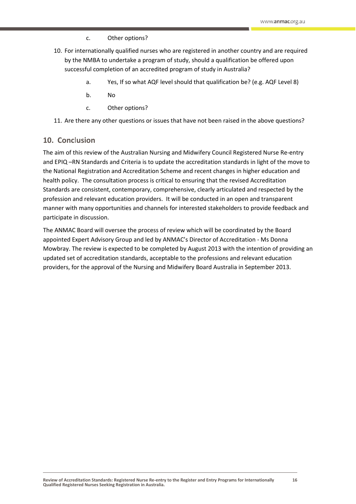### c. Other options?

- 10. For internationally qualified nurses who are registered in another country and are required by the NMBA to undertake a program of study, should a qualification be offered upon successful completion of an accredited program of study in Australia?
	- a. Yes, If so what AQF level should that qualification be? (e.g. AQF Level 8)
	- b. No
	- c. Other options?
- 11. Are there any other questions or issues that have not been raised in the above questions?

### <span id="page-18-0"></span>**10. Conc**l**usion**

The aim of this review of the Australian Nursing and Midwifery Council Registered Nurse Re-entry and EPIQ –RN Standards and Criteria is to update the accreditation standards in light of the move to the National Registration and Accreditation Scheme and recent changes in higher education and health policy. The consultation process is critical to ensuring that the revised Accreditation Standards are consistent, contemporary, comprehensive, clearly articulated and respected by the profession and relevant education providers. It will be conducted in an open and transparent manner with many opportunities and channels for interested stakeholders to provide feedback and participate in discussion.

The ANMAC Board will oversee the process of review which will be coordinated by the Board appointed Expert Advisory Group and led by ANMAC's Director of Accreditation - Ms Donna Mowbray. The review is expected to be completed by August 2013 with the intention of providing an updated set of accreditation standards, acceptable to the professions and relevant education providers, for the approval of the Nursing and Midwifery Board Australia in September 2013.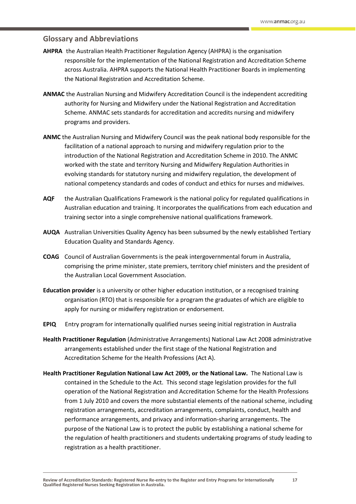### <span id="page-19-0"></span>**Glossary and Abbreviations**

- **AHPRA** the Australian Health Practitioner Regulation Agency (AHPRA) is the organisation responsible for the implementation of the National Registration and Accreditation Scheme across Australia. AHPRA supports the National Health Practitioner Boards in implementing the National Registration and Accreditation Scheme.
- **ANMAC** the Australian Nursing and Midwifery Accreditation Council is the independent accrediting authority for Nursing and Midwifery under the National Registration and Accreditation Scheme. ANMAC sets standards for accreditation and accredits nursing and midwifery programs and providers.
- **ANMC** the Australian Nursing and Midwifery Council was the peak national body responsible for the facilitation of a national approach to nursing and midwifery regulation prior to the introduction of the National Registration and Accreditation Scheme in 2010. The ANMC worked with the state and territory Nursing and Midwifery Regulation Authorities in evolving standards for statutory nursing and midwifery regulation, the development of national competency standards and codes of conduct and ethics for nurses and midwives.
- **AQF** the Australian Qualifications Framework is the national policy for regulated qualifications in Australian education and training. It incorporates the qualifications from each education and training sector into a single comprehensive national qualifications framework.
- **AUQA** Australian Universities Quality Agency has been subsumed by the newly established Tertiary Education Quality and Standards Agency.
- **COAG** Council of Australian Governments is the peak intergovernmental forum in Australia, comprising the prime minister, state premiers, territory chief ministers and the president of the Australian Local Government Association.
- **Education provider** is a university or other higher education institution, or a recognised training organisation (RTO) that is responsible for a program the graduates of which are eligible to apply for nursing or midwifery registration or endorsement.
- **EPIQ** Entry program for internationally qualified nurses seeing initial registration in Australia
- **Health Practitioner Regulation** (Administrative Arrangements) National Law Act 2008 administrative arrangements established under the first stage of the National Registration and Accreditation Scheme for the Health Professions (Act A).
- **Health Practitioner Regulation National Law Act 2009, or the National Law.** The National Law is contained in the Schedule to the Act. This second stage legislation provides for the full operation of the National Registration and Accreditation Scheme for the Health Professions from 1 July 2010 and covers the more substantial elements of the national scheme, including registration arrangements, accreditation arrangements, complaints, conduct, health and performance arrangements, and privacy and information-sharing arrangements. The purpose of the National Law is to protect the public by establishing a national scheme for the regulation of health practitioners and students undertaking programs of study leading to registration as a health practitioner.

**17**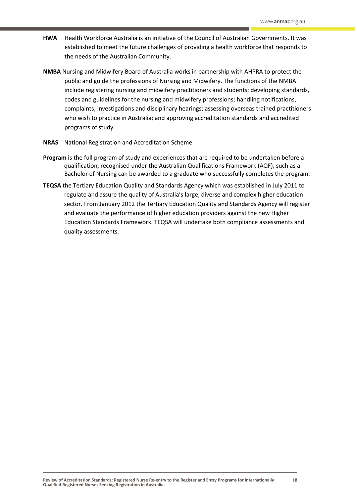- **HWA** Health Workforce Australia is an initiative of the Council of Australian Governments. It was established to meet the future challenges of providing a health workforce that responds to the needs of the Australian Community.
- **NMBA** Nursing and Midwifery Board of Australia works in partnership with AHPRA to protect the public and guide the professions of Nursing and Midwifery. The functions of the NMBA include registering nursing and midwifery practitioners and students; developing standards, codes and guidelines for the nursing and midwifery professions; handling notifications, complaints, investigations and disciplinary hearings; assessing overseas trained practitioners who wish to practice in Australia; and approving accreditation standards and accredited programs of study.
- **NRAS** National Registration and Accreditation Scheme
- **Program** is the full program of study and experiences that are required to be undertaken before a qualification, recognised under the Australian Qualifications Framework (AQF), such as a Bachelor of Nursing can be awarded to a graduate who successfully completes the program.
- **TEQSA** the Tertiary Education Quality and Standards Agency which was established in July 2011 to regulate and assure the quality of Australia's large, diverse and complex higher education sector. From January 2012 the Tertiary Education Quality and Standards Agency will register and evaluate the performance of higher education providers against the new Higher Education Standards Framework. TEQSA will undertake both compliance assessments and quality assessments.